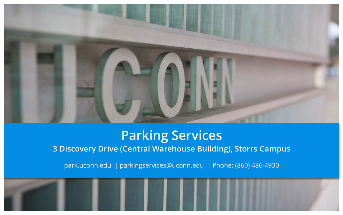

### **Parking Services 3 Discovery Drive (Central Warehouse Building), Storrs Campus**

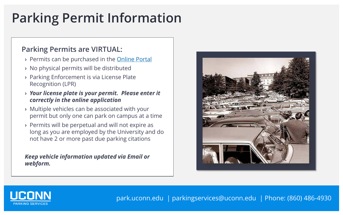## **Parking Permit Information**

#### **Parking Permits are VIRTUAL:**

- **›** Permits can be purchased in the [Online Portal](https://login.uconn.edu/cas/login?service=https%3A%2F%2Fctitt-uconn.cticloudhost.com%2Fsignin-cas%3Fstate%3De3cf11a60318416b9acda3a987c2bde2)
- **›** No physical permits will be distributed
- **›** Parking Enforcement is via License Plate Recognition (LPR)
- **›** *Your license plate is your permit. Please enter it correctly in the online application*
- **›** Multiple vehicles can be associated with your permit but only one can park on campus at a time
- **›** Permits will be perpetual and will not expire as long as you are employed by the University and do not have 2 or more past due parking citations

*Keep vehicle information updated via Email or webform.* 



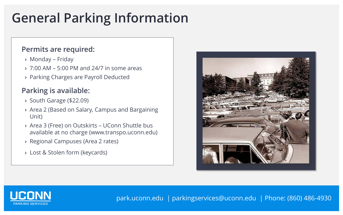## **General Parking Information**

#### **Permits are required:**

- **›** Monday Friday
- **›** 7:00 AM 5:00 PM and 24/7 in some areas
- **›** Parking Charges are Payroll Deducted

### **Parking is available:**

- **›** South Garage (\$22.09)
- **›** Area 2 (Based on Salary, Campus and Bargaining Unit)
- **›** Area 3 (Free) on Outskirts UConn Shuttle bus available at no charge (www.transpo.uconn.edu)
- **›** Regional Campuses (Area 2 rates)
- **›** Lost & Stolen form (keycards)



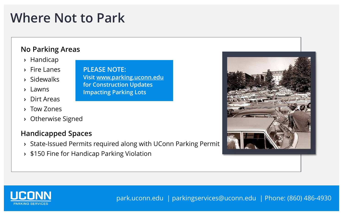### **Where Not to Park**

#### **No Parking Areas**

- **›** Handicap
- **›** Fire Lanes
- **›** Sidewalks
- **›** Lawns
- **›** Dirt Areas
- **›** Tow Zones
- **›** Otherwise Signed

### **Handicapped Spaces**

**›** State-Issued Permits required along with UConn Parking Permit

**Visit [www.parking.uconn.edu](http://www.parking.uconn.edu/)**

**for Construction Updates** 

**Impacting Parking Lots**

**PLEASE NOTE:**

**›** \$150 Fine for Handicap Parking Violation



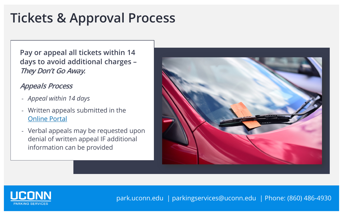### **Tickets & Approval Process**

**Pay or appeal all tickets within 14 days to avoid additional charges – They Don't Go Away.**

#### **Appeals Process**

- *Appeal within 14 days*
- Written appeals submitted in the [Online Portal](https://login.uconn.edu/cas/login?service=https%3A%2F%2Fctitt-uconn.cticloudhost.com%2Fsignin-cas%3Fstate%3De3cf11a60318416b9acda3a987c2bde2)
- Verbal appeals may be requested upon denial of written appeal IF additional information can be provided